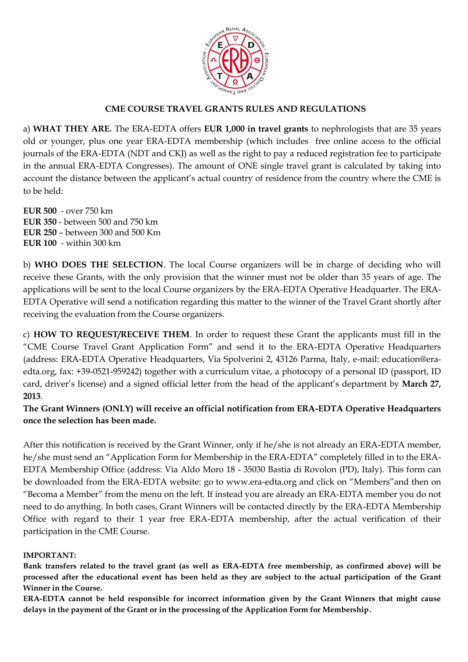

## **CME COURSE TRAVEL GRANTS RULES AND REGULATIONS**

a) **WHAT THEY ARE.** The ERA-EDTA offers **EUR 1,000 in travel grants** to nephrologists that are 35 years old or younger, plus one year ERA-EDTA membership (which includes free online access to the official journals of the ERA-EDTA (NDT and CKJ) as well as the right to pay a reduced registration fee to participate in the annual ERA-EDTA Congresses). The amount of ONE single travel grant is calculated by taking into account the distance between the applicant's actual country of residence from the country where the CME is to be held:

**EUR 500** - over 750 km **EUR 350** - between 500 and 750 km **EUR 250** – between 300 and 500 Km **EUR 100** - within 300 km

b) **WHO DOES THE SELECTION**. The local Course organizers will be in charge of deciding who will receive these Grants, with the only provision that the winner must not be older than 35 years of age. The applications will be sent to the local Course organizers by the ERA-EDTA Operative Headquarter. The ERA-EDTA Operative will send a notification regarding this matter to the winner of the Travel Grant shortly after receiving the evaluation from the Course organizers.

c) **HOW TO REQUEST/RECEIVE THEM**. In order to request these Grant the applicants must fill in the "CME Course Travel Grant Application Form" and send it to the ERA-EDTA Operative Headquarters (address: ERA-EDTA Operative Headquarters, Via Spolverini 2, 43126 Parma, Italy, e-mail: education@eraedta.org, fax: +39-0521-959242) together with a curriculum vitae, a photocopy of a personal ID (passport, ID card, driver's license) and a signed official letter from the head of the applicant's department by **March 27, 2013**.

**The Grant Winners (ONLY) will receive an official notification from ERA-EDTA Operative Headquarters once the selection has been made.** 

After this notification is received by the Grant Winner, only if he/she is not already an ERA-EDTA member, he/she must send an "Application Form for Membership in the ERA-EDTA" completely filled in to the ERA-EDTA Membership Office (address: Via Aldo Moro 18 - 35030 Bastia di Rovolon (PD), Italy). This form can be downloaded from the ERA-EDTA website: go to www.era-edta.org and click on "Members"and then on "Becoma a Member" from the menu on the left. If instead you are already an ERA-EDTA member you do not need to do anything. In both cases, Grant Winners will be contacted directly by the ERA-EDTA Membership Office with regard to their 1 year free ERA-EDTA membership, after the actual verification of their participation in the CME Course.

#### **IMPORTANT:**

**Bank transfers related to the travel grant (as well as ERA-EDTA free membership, as confirmed above) will be processed after the educational event has been held as they are subject to the actual participation of the Grant Winner in the Course.**

**ERA-EDTA cannot be held responsible for incorrect information given by the Grant Winners that might cause delays in the payment of the Grant or in the processing of the Application Form for Membership.**